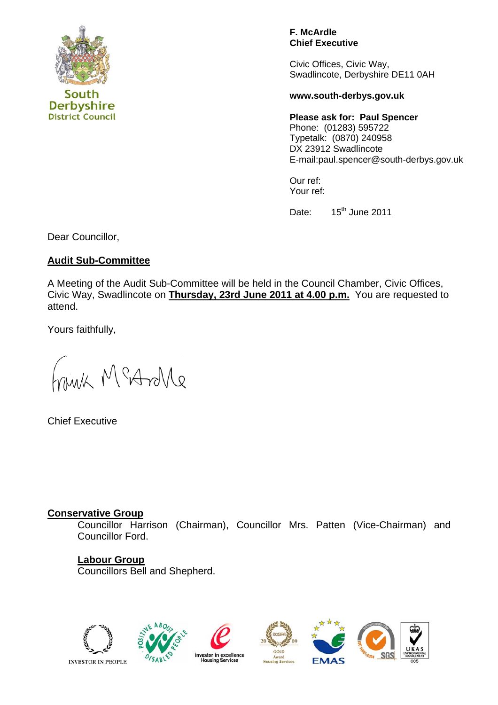

**F. McArdle Chief Executive** 

Civic Offices, Civic Way, Swadlincote, Derbyshire DE11 0AH

#### **www.south-derbys.gov.uk**

**Please ask for: Paul Spencer**  Phone: (01283) 595722 Typetalk: (0870) 240958 DX 23912 Swadlincote E-mail:paul.spencer@south-derbys.gov.uk

Our ref: Your ref:

Date: 15<sup>th</sup> June 2011

Dear Councillor,

## **Audit Sub-Committee**

A Meeting of the Audit Sub-Committee will be held in the Council Chamber, Civic Offices, Civic Way, Swadlincote on **Thursday, 23rd June 2011 at 4.00 p.m.** You are requested to attend.

Yours faithfully,

minh McAnle

Chief Executive

## **Conservative Group**

Councillor Harrison (Chairman), Councillor Mrs. Patten (Vice-Chairman) and Councillor Ford.

# **Labour Group**

Councillors Bell and Shepherd.